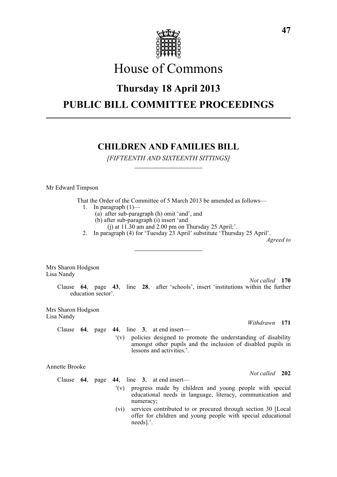

# House of Commons

## **Thursday 18 April 2013**

## **PUBLIC BILL COMMITTEE PROCEEDINGS**

## **CHILDREN AND FAMILIES BILL**

*[FIFTEENTH AND SIXTEENTH SITTINGS]*

Mr Edward Timpson

That the Order of the Committee of 5 March 2013 be amended as follows—

- 1. In paragraph  $(1)$ 
	- (a) after sub-paragraph (h) omit 'and', and
	- (b) after sub-paragraph (i) insert 'and
	- (i) at  $11.30$  am and  $2.00$  pm on Thursday 25 April;'.
- 2. In paragraph (4) for 'Tuesday 23 April' substitute 'Thursday 25 April'.

*Agreed to*

Mrs Sharon Hodgson Lisa Nandy

*Not called* **170** Clause **64**, page **43**, line **28**, after 'schools', insert 'institutions within the further education sector'.

Mrs Sharon Hodgson Lisa Nandy

Clause **64**, page **44**, line **3**, at end insert—

'(v) policies designed to promote the understanding of disability amongst other pupils and the inclusion of disabled pupils in lessons and activities.'.

Annette Brooke

Clause **64**, page **44**, line **3**, at end insert—

- '(v) progress made by children and young people with special educational needs in language, literacy, communication and numeracy;
- (vi) services contributed to or procured through section 30 [Local offer for children and young people with special educational needs].'.

*Not called* **202**

*Withdrawn* **171**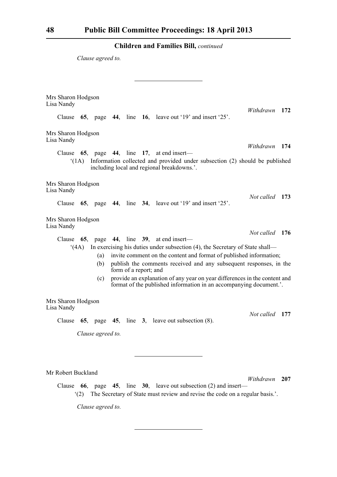*Clause agreed to.*

Mrs Sharon Hodgson Lisa Nandy *Withdrawn* **172** Clause **65**, page **44**, line **16**, leave out '19' and insert '25'. Mrs Sharon Hodgson Lisa Nandy *Withdrawn* **174** Clause **65**, page **44**, line **17**, at end insert— '(1A) Information collected and provided under subsection (2) should be published including local and regional breakdowns.'. Mrs Sharon Hodgson Lisa Nandy *Not called* **173** Clause **65**, page **44**, line **34**, leave out '19' and insert '25'. Mrs Sharon Hodgson Lisa Nandy *Not called* **176** Clause **65**, page **44**, line **39**, at end insert— '(4A) In exercising his duties under subsection (4), the Secretary of State shall— (a) invite comment on the content and format of published information; (b) publish the comments received and any subsequent responses, in the form of a report; and (c) provide an explanation of any year on year differences in the content and format of the published information in an accompanying document.'. Mrs Sharon Hodgson Lisa Nandy *Not called* **177** Clause **65**, page **45**, line **3**, leave out subsection (8). *Clause agreed to.* Mr Robert Buckland *Withdrawn* **207**

Clause **66**, page **45**, line **30**, leave out subsection (2) and insert— '(2) The Secretary of State must review and revise the code on a regular basis.'.

*Clause agreed to.*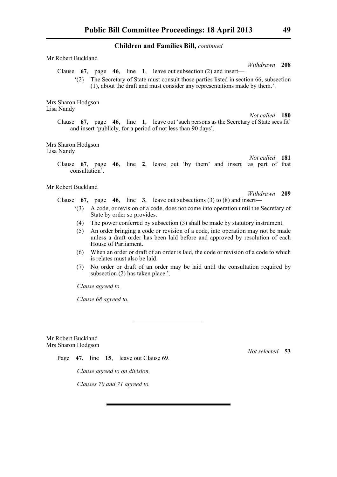| Mr Robert Buckland                                                                                                                                                                                                                                                                   |
|--------------------------------------------------------------------------------------------------------------------------------------------------------------------------------------------------------------------------------------------------------------------------------------|
| Withdrawn 208<br>Clause $67$ , page $46$ , line 1, leave out subsection (2) and insert—<br>The Secretary of State must consult those parties listed in section 66, subsection<br>(2)<br>(1), about the draft and must consider any representations made by them.'.                   |
| Mrs Sharon Hodgson<br>Lisa Nandy<br>Not called 180                                                                                                                                                                                                                                   |
| Clause 67, page 46, line 1, leave out 'such persons as the Secretary of State sees fit'<br>and insert 'publicly, for a period of not less than 90 days'.                                                                                                                             |
| Mrs Sharon Hodgson<br>Lisa Nandy<br>Not called 181                                                                                                                                                                                                                                   |
| Clause 67, page 46, line 2, leave out 'by them' and insert 'as part of that<br>consultation'.                                                                                                                                                                                        |
| Mr Robert Buckland<br>Withdrawn 209<br>Clause 67, page 46, line 3, leave out subsections (3) to (8) and insert—                                                                                                                                                                      |
| A code, or revision of a code, does not come into operation until the Secretary of<br>(3)<br>State by order so provides.                                                                                                                                                             |
| The power conferred by subsection (3) shall be made by statutory instrument.<br>(4)<br>An order bringing a code or revision of a code, into operation may not be made<br>(5)<br>unless a draft order has been laid before and approved by resolution of each<br>House of Parliament. |

- (6) When an order or draft of an order is laid, the code or revision of a code to which is relates must also be laid.
- (7) No order or draft of an order may be laid until the consultation required by subsection (2) has taken place.'.

*Clause agreed to.*

*Clause 68 agreed to.*

Mr Robert Buckland Mrs Sharon Hodgson

Page **47**, line **15**, leave out Clause 69.

*Clause agreed to on division.*

*Clauses 70 and 71 agreed to.*

*Not selected* **53**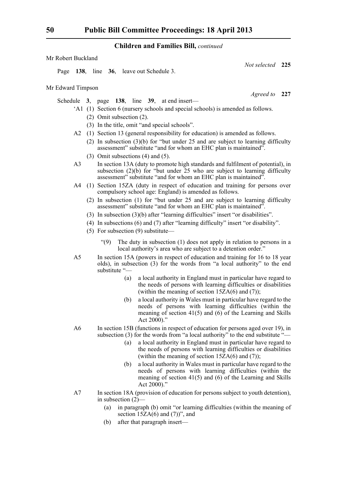| Mr Edward Timpson |  |  |                                                                          |
|-------------------|--|--|--------------------------------------------------------------------------|
|                   |  |  | Schedule 3, page 138, line 39, at end insert—                            |
|                   |  |  | $(1)$ (1) $\Omega$ assign 6 (monogroup solve also and special solve also |

- 'A1 (1) Section 6 (nursery schools and special schools) is amended as follows.
	- (2) Omit subsection (2).

Page **138**, line **36**, leave out Schedule 3.

- (3) In the title, omit "and special schools".
- A2 (1) Section 13 (general responsibility for education) is amended as follows.
	- (2) In subsection (3)(b) for "but under 25 and are subject to learning difficulty assessment" substitute "and for whom an EHC plan is maintained".
	- (3) Omit subsections (4) and (5).
- A3 In section 13A (duty to promote high standards and fulfilment of potential), in subsection (2)(b) for "but under 25 who are subject to learning difficulty assessment" substitute "and for whom an EHC plan is maintained".
- A4 (1) Section 15ZA (duty in respect of education and training for persons over compulsory school age: England) is amended as follows.
	- (2) In subsection (1) for "but under 25 and are subject to learning difficulty assessment" substitute "and for whom an EHC plan is maintained".
	- (3) In subsection (3)(b) after "learning difficulties" insert "or disabilities".
	- (4) In subsections (6) and (7) after "learning difficulty" insert "or disability".
	- (5) For subsection (9) substitute—
		- "(9) The duty in subsection (1) does not apply in relation to persons in a local authority's area who are subject to a detention order."
- A5 In section 15A (powers in respect of education and training for 16 to 18 year olds), in subsection (3) for the words from "a local authority" to the end substitute "—
	- (a) a local authority in England must in particular have regard to the needs of persons with learning difficulties or disabilities (within the meaning of section  $15ZA(6)$  and  $(7)$ );
	- (b) a local authority in Wales must in particular have regard to the needs of persons with learning difficulties (within the meaning of section 41(5) and (6) of the Learning and Skills Act 2000)."
- A6 In section 15B (functions in respect of education for persons aged over 19), in subsection (3) for the words from "a local authority" to the end substitute "-
	- (a) a local authority in England must in particular have regard to the needs of persons with learning difficulties or disabilities (within the meaning of section  $15ZA(6)$  and  $(7)$ );
	- (b) a local authority in Wales must in particular have regard to the needs of persons with learning difficulties (within the meaning of section 41(5) and (6) of the Learning and Skills Act 2000)."
- A7 In section 18A (provision of education for persons subject to youth detention), in subsection  $(2)$ -
	- (a) in paragraph (b) omit "or learning difficulties (within the meaning of section  $15ZA(6)$  and  $(7)$ ", and
	- (b) after that paragraph insert—

Mr Robert Buckland

*Agreed to* **227**

*Not selected* **225**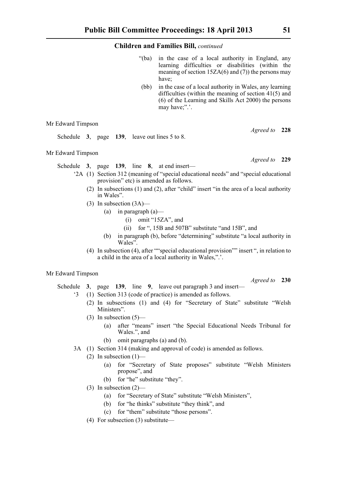- "(ba) in the case of a local authority in England, any learning difficulties or disabilities (within the meaning of section  $15ZA(6)$  and (7)) the persons may have;
- (bb) in the case of a local authority in Wales, any learning difficulties (within the meaning of section 41(5) and (6) of the Learning and Skills Act 2000) the persons may have;".'.

## Mr Edward Timpson

Schedule **3**, page **139**, leave out lines 5 to 8.

## Mr Edward Timpson

Schedule **3**, page **139**, line **8**, at end insert—

- '2A (1) Section 312 (meaning of "special educational needs" and "special educational provision" etc) is amended as follows.
	- (2) In subsections (1) and (2), after "child" insert "in the area of a local authority in Wales".
	- (3) In subsection (3A)—
		- (a) in paragraph  $(a)$ 
			- (i) omit "15ZA", and
			- (ii) for ", 15B and 507B" substitute "and 15B", and
		- (b) in paragraph (b), before "determining" substitute "a local authority in Wales".
	- (4) In subsection (4), after ""special educational provision"" insert ", in relation to a child in the area of a local authority in Wales,".'.

## Mr Edward Timpson

Schedule **3**, page **139**, line **9**, leave out paragraph 3 and insert—

- '3 (1) Section 313 (code of practice) is amended as follows.
	- (2) In subsections (1) and (4) for "Secretary of State" substitute "Welsh Ministers".
	- (3) In subsection  $(5)$ 
		- (a) after "means" insert "the Special Educational Needs Tribunal for Wales.", and
		- (b) omit paragraphs (a) and (b).
- 3A (1) Section 314 (making and approval of code) is amended as follows.
	- (2) In subsection (1)—
		- (a) for "Secretary of State proposes" substitute "Welsh Ministers propose", and
		- (b) for "he" substitute "they".
		- (3) In subsection (2)—
			- (a) for "Secretary of State" substitute "Welsh Ministers",
			- (b) for "he thinks" substitute "they think", and
			- (c) for "them" substitute "those persons".
	- (4) For subsection (3) substitute—

*Agreed to* **228**

*Agreed to* **229**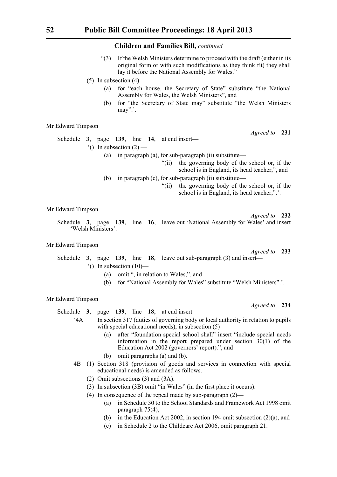- "(3) If the Welsh Ministers determine to proceed with the draft (either in its original form or with such modifications as they think fit) they shall lay it before the National Assembly for Wales."
- (5) In subsection  $(4)$ 
	- (a) for "each house, the Secretary of State" substitute "the National Assembly for Wales, the Welsh Ministers", and
	- (b) for "the Secretary of State may" substitute "the Welsh Ministers may".'.

## Mr Edward Timpson

Schedule **3**, page **139**, line **14**, at end insert—  $^{\circ}$ () In subsection (2) — (a) in paragraph (a), for sub-paragraph (ii) substitute—

"(ii) the governing body of the school or, if the

- school is in England, its head teacher,", and
- (b) in paragraph (c), for sub-paragraph (ii) substitute—
	- "(ii) the governing body of the school or, if the school is in England, its head teacher,".'.

Mr Edward Timpson

Schedule **3**, page **139**, line **16**, leave out 'National Assembly for Wales' and insert 'Welsh Ministers'.

## Mr Edward Timpson

## *Agreed to* **233** Schedule **3**, page **139**, line **18**, leave out sub-paragraph (3) and insert— '() In subsection (10)—

- (a) omit ", in relation to Wales,", and
- (b) for "National Assembly for Wales" substitute "Welsh Ministers".'.

#### Mr Edward Timpson

Schedule **3**, page **139**, line **18**, at end insert—

- '4A In section 317 (duties of governing body or local authority in relation to pupils with special educational needs), in subsection (5)—
	- (a) after "foundation special school shall" insert "include special needs information in the report prepared under section  $30(1)$  of the Education Act 2002 (governors' report).", and
	- (b) omit paragraphs (a) and (b).
- 4B (1) Section 318 (provision of goods and services in connection with special educational needs) is amended as follows.
	- (2) Omit subsections (3) and (3A).
	- (3) In subsection (3B) omit "in Wales" (in the first place it occurs).
	- (4) In consequence of the repeal made by sub-paragraph (2)—
		- (a) in Schedule 30 to the School Standards and Framework Act 1998 omit paragraph 75(4),
		- (b) in the Education Act 2002, in section 194 omit subsection (2)(a), and
		- (c) in Schedule 2 to the Childcare Act 2006, omit paragraph 21.

*Agreed to* **231**

*Agreed to* **232**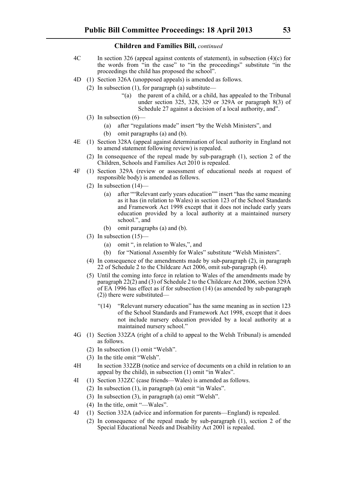- 4C In section 326 (appeal against contents of statement), in subsection (4)(c) for the words from "in the case" to "in the proceedings" substitute "in the proceedings the child has proposed the school".
- 4D (1) Section 326A (unopposed appeals) is amended as follows.
	- (2) In subsection (1), for paragraph (a) substitute—
		- "(a) the parent of a child, or a child, has appealed to the Tribunal under section 325, 328, 329 or 329 $\widehat{A}$  or paragraph 8(3) of Schedule 27 against a decision of a local authority, and".
	- (3) In subsection (6)—
		- (a) after "regulations made" insert "by the Welsh Ministers", and
		- (b) omit paragraphs (a) and (b).
- 4E (1) Section 328A (appeal against determination of local authority in England not to amend statement following review) is repealed.
	- (2) In consequence of the repeal made by sub-paragraph (1), section 2 of the Children, Schools and Families Act 2010 is repealed.
- 4F (1) Section 329A (review or assessment of educational needs at request of responsible body) is amended as follows.
	- (2) In subsection  $(14)$ 
		- (a) after ""Relevant early years education"" insert "has the same meaning as it has (in relation to Wales) in section 123 of the School Standards and Framework Act 1998 except that it does not include early years education provided by a local authority at a maintained nursery school.", and
		- (b) omit paragraphs (a) and (b).
	- (3) In subsection  $(15)$ 
		- (a) omit ", in relation to Wales,", and
		- (b) for "National Assembly for Wales" substitute "Welsh Ministers".
	- (4) In consequence of the amendments made by sub-paragraph (2), in paragraph 22 of Schedule 2 to the Childcare Act 2006, omit sub-paragraph (4).
	- (5) Until the coming into force in relation to Wales of the amendments made by paragraph 22(2) and (3) of Schedule 2 to the Childcare Act 2006, section 329A of EA 1996 has effect as if for subsection (14) (as amended by sub-paragraph (2)) there were substituted—
		- "(14) "Relevant nursery education" has the same meaning as in section 123 of the School Standards and Framework Act 1998, except that it does not include nursery education provided by a local authority at a maintained nursery school."
- 4G (1) Section 332ZA (right of a child to appeal to the Welsh Tribunal) is amended as follows.
	- (2) In subsection (1) omit "Welsh".
	- (3) In the title omit "Welsh".
- 4H In section 332ZB (notice and service of documents on a child in relation to an appeal by the child), in subsection (1) omit "in Wales".
- 4I (1) Section 332ZC (case friends—Wales) is amended as follows.
	- (2) In subsection (1), in paragraph (a) omit "in Wales".
	- (3) In subsection (3), in paragraph (a) omit "Welsh".
	- (4) In the title, omit "—Wales".
- 4J (1) Section 332A (advice and information for parents—England) is repealed.
	- (2) In consequence of the repeal made by sub-paragraph (1), section 2 of the Special Educational Needs and Disability Act 2001 is repealed.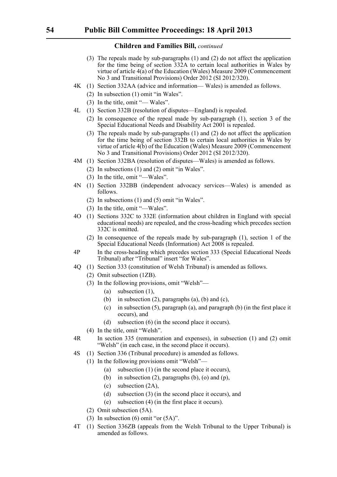- (3) The repeals made by sub-paragraphs (1) and (2) do not affect the application for the time being of section 332A to certain local authorities in Wales by virtue of article 4(a) of the Education (Wales) Measure 2009 (Commencement No 3 and Transitional Provisions) Order 2012 (SI 2012/320).
- 4K (1) Section 332AA (advice and information— Wales) is amended as follows.
	- (2) In subsection (1) omit "in Wales".
	- (3) In the title, omit "— Wales".
- 4L (1) Section 332B (resolution of disputes—England) is repealed.
	- (2) In consequence of the repeal made by sub-paragraph (1), section 3 of the Special Educational Needs and Disability Act 2001 is repealed.
	- (3) The repeals made by sub-paragraphs (1) and (2) do not affect the application for the time being of section 332B to certain local authorities in Wales by virtue of article 4(b) of the Education (Wales) Measure 2009 (Commencement No 3 and Transitional Provisions) Order 2012 (SI 2012/320).
- 4M (1) Section 332BA (resolution of disputes—Wales) is amended as follows.
	- (2) In subsections (1) and (2) omit "in Wales".
	- (3) In the title, omit "—Wales".
- 4N (1) Section 332BB (independent advocacy services—Wales) is amended as follows.
	- (2) In subsections (1) and (5) omit "in Wales".
	- (3) In the title, omit "—Wales".
- 4O (1) Sections 332C to 332E (information about children in England with special educational needs) are repealed, and the cross-heading which precedes section 332C is omitted.
	- (2) In consequence of the repeals made by sub-paragraph (1), section 1 of the Special Educational Needs (Information) Act 2008 is repealed.
- 4P In the cross-heading which precedes section 333 (Special Educational Needs Tribunal) after "Tribunal" insert "for Wales".
- 4Q (1) Section 333 (constitution of Welsh Tribunal) is amended as follows.
	- (2) Omit subsection (1ZB).
	- (3) In the following provisions, omit "Welsh"—
		- (a) subsection (1),
		- (b) in subsection  $(2)$ , paragraphs  $(a)$ ,  $(b)$  and  $(c)$ ,
		- (c) in subsection (5), paragraph (a), and paragraph (b) (in the first place it occurs), and
		- (d) subsection (6) (in the second place it occurs).
	- (4) In the title, omit "Welsh".
- 4R In section 335 (remuneration and expenses), in subsection (1) and (2) omit "Welsh" (in each case, in the second place it occurs).
- 4S (1) Section 336 (Tribunal procedure) is amended as follows.
	- (1) In the following provisions omit "Welsh"—
		- (a) subsection (1) (in the second place it occurs),
		- (b) in subsection  $(2)$ , paragraphs  $(b)$ ,  $(o)$  and  $(p)$ ,
		- (c) subsection (2A),
		- (d) subsection (3) (in the second place it occurs), and
		- (e) subsection (4) (in the first place it occurs).
	- (2) Omit subsection (5A).
	- (3) In subsection  $(6)$  omit "or  $(5A)$ ".
- 4T (1) Section 336ZB (appeals from the Welsh Tribunal to the Upper Tribunal) is amended as follows.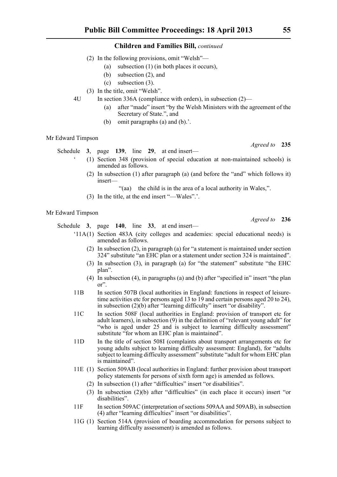- (2) In the following provisions, omit "Welsh"—
	- (a) subsection (1) (in both places it occurs),
	- (b) subsection (2), and
	- (c) subsection (3).
- (3) In the title, omit "Welsh".
- 4U In section 336A (compliance with orders), in subsection (2)—
	- (a) after "made" insert "by the Welsh Ministers with the agreement of the Secretary of State.", and
	- (b) omit paragraphs (a) and (b).'.

#### Mr Edward Timpson

Schedule **3**, page **139**, line **29**, at end insert—

- ' (1) Section 348 (provision of special education at non-maintained schools) is amended as follows.
- (2) In subsection (1) after paragraph (a) (and before the "and" which follows it) insert—

"(aa) the child is in the area of a local authority in Wales,".

(3) In the title, at the end insert "—Wales".'.

## Mr Edward Timpson

Schedule **3**, page **140**, line **33**, at end insert—

- '11A(1) Section 483A (city colleges and academies: special educational needs) is amended as follows.
	- (2) In subsection (2), in paragraph (a) for "a statement is maintained under section 324" substitute "an EHC plan or a statement under section 324 is maintained".
	- (3) In subsection (3), in paragraph (a) for "the statement" substitute "the EHC plan".
	- (4) In subsection (4), in paragraphs (a) and (b) after "specified in" insert "the plan or".
- 11B In section 507B (local authorities in England: functions in respect of leisuretime activities etc for persons aged 13 to 19 and certain persons aged 20 to 24), in subsection (2)(b) after "learning difficulty" insert "or disability".
- 11C In section 508F (local authorities in England: provision of transport etc for adult learners), in subsection (9) in the definition of "relevant young adult" for "who is aged under 25 and is subject to learning difficulty assessment" substitute "for whom an EHC plan is maintained".
- 11D In the title of section 508I (complaints about transport arrangements etc for young adults subject to learning difficulty assessment: England), for "adults subject to learning difficulty assessment" substitute "adult for whom EHC plan is maintained".
- 11E (1) Section 509AB (local authorities in England: further provision about transport policy statements for persons of sixth form age) is amended as follows.
	- (2) In subsection (1) after "difficulties" insert "or disabilities".
	- (3) In subsection (2)(b) after "difficulties" (in each place it occurs) insert "or disabilities".
- 11F In section 509AC (interpretation of sections 509AA and 509AB), in subsection (4) after "learning difficulties" insert "or disabilities".
- 11G (1) Section 514A (provision of boarding accommodation for persons subject to learning difficulty assessment) is amended as follows.

*Agreed to* **235**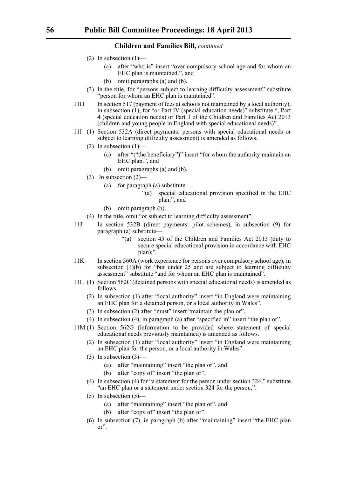- (2) In subsection  $(1)$ 
	- (a) after "who is" insert "over compulsory school age and for whom an EHC plan is maintained.", and
	- (b) omit paragraphs (a) and (b).
- (3) In the title, for "persons subject to learning difficulty assessment" substitute "person for whom an EHC plan is maintained".
- 11H In section 517 (payment of fees at schools not maintained by a local authority), in subsection  $(1)$ , for "or Part IV (special education needs)" substitute ", Part 4 (special education needs) or Part 3 of the Children and Families Act 2013 (children and young people in England with special educational needs)".
- 11I (1) Section 532A (direct payments: persons with special educational needs or subject to learning difficulty assessment) is amended as follows.
	- $(2)$  In subsection  $(1)$ 
		- (a) after "("the beneficiary")" insert "for whom the authority maintain an EHC plan.", and
		- (b) omit paragraphs (a) and (b).
	- (3) In subsection (2)—
		- (a) for paragraph (a) substitute—
			- "(a) special educational provision specified in the EHC plan;", and
		- (b) omit paragraph (b).
	- (4) In the title, omit "or subject to learning difficulty assessment".
- 11J In section 532B (direct payments: pilot schemes), in subsection (9) for paragraph (a) substitute—
	- "(a) section 43 of the Children and Families Act 2013 (duty to secure special educational provision in accordance with EHC plan);".
- 11K In section 560A (work experience for persons over compulsory school age), in subsection (1)(b) for "but under 25 and are subject to learning difficulty assessment" substitute "and for whom an EHC plan is maintained".
- 11L (1) Section 562C (detained persons with special educational needs) is amended as follows.
	- (2) In subsection (1) after "local authority" insert "in England were maintaining an EHC plan for a detained person, or a local authority in Wales".
	- (3) In subsection (2) after "must" insert "maintain the plan or".
	- (4) In subsection (4), in paragraph (a) after "specified in" insert "the plan or".
- 11M (1) Section 562G (information to be provided where statement of special educational needs previously maintained) is amended as follows.
	- (2) In subsection (1) after "local authority" insert "in England were maintaining an EHC plan for the person, or a local authority in Wales".
	- (3) In subsection (3)—
		- (a) after "maintaining" insert "the plan or", and
		- (b) after "copy of" insert "the plan or".
	- (4) In subsection (4) for "a statement for the person under section 324," substitute "an EHC plan or a statement under section 324 for the person,".
	- $(5)$  In subsection  $(5)$ 
		- (a) after "maintaining" insert "the plan or", and
		- (b) after "copy of" insert "the plan or".
	- (6) In subsection (7), in paragraph (b) after "maintaining" insert "the EHC plan or".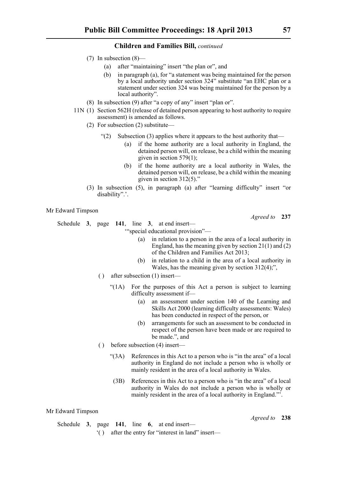- (7) In subsection (8)—
	- (a) after "maintaining" insert "the plan or", and
		- (b) in paragraph (a), for "a statement was being maintained for the person by a local authority under section 324" substitute "an EHC plan or a statement under section 324 was being maintained for the person by a local authority".
- (8) In subsection (9) after "a copy of any" insert "plan or".
- 11N (1) Section 562H (release of detained person appearing to host authority to require assessment) is amended as follows.
	- (2) For subsection (2) substitute—
		- "(2) Subsection (3) applies where it appears to the host authority that—
			- (a) if the home authority are a local authority in England, the detained person will, on release, be a child within the meaning given in section  $579(1)$ ;
			- (b) if the home authority are a local authority in Wales, the detained person will, on release, be a child within the meaning given in section 312(5)."
	- (3) In subsection (5), in paragraph (a) after "learning difficulty" insert "or disability".'.

Mr Edward Timpson

Schedule **3**, page **141**, line **3**, at end insert—

'"special educational provision"—

- (a) in relation to a person in the area of a local authority in England, has the meaning given by section 21(1) and (2) of the Children and Families Act 2013;
- (b) in relation to a child in the area of a local authority in Wales, has the meaning given by section 312(4);",
- ( ) after subsection (1) insert—
	- "(1A) For the purposes of this Act a person is subject to learning difficulty assessment if—
		- (a) an assessment under section 140 of the Learning and Skills Act 2000 (learning difficulty assessments: Wales) has been conducted in respect of the person, or
		- (b) arrangements for such an assessment to be conducted in respect of the person have been made or are required to be made.", and
- ( ) before subsection (4) insert—
	- "(3A) References in this Act to a person who is "in the area" of a local authority in England do not include a person who is wholly or mainly resident in the area of a local authority in Wales.
	- (3B) References in this Act to a person who is "in the area" of a local authority in Wales do not include a person who is wholly or mainly resident in the area of a local authority in England."'.

Mr Edward Timpson

## Schedule **3**, page **141**, line **6**, at end insert—

'( ) after the entry for "interest in land" insert—

*Agreed to* **237**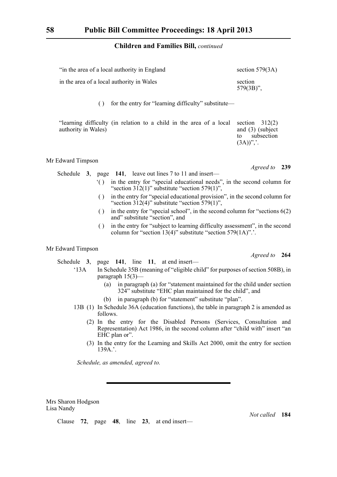| "in the area of a local authority in England"       | section $579(3A)$       |  |  |  |
|-----------------------------------------------------|-------------------------|--|--|--|
| in the area of a local authority in Wales           | section<br>$579(3B)$ ", |  |  |  |
| for the entry for "learning difficulty" substitute— |                         |  |  |  |

| "learning difficulty (in relation to a child in the area of a local section $312(2)$ ) |  |  |  |  |  |                            |                    |
|----------------------------------------------------------------------------------------|--|--|--|--|--|----------------------------|--------------------|
| authority in Wales)                                                                    |  |  |  |  |  |                            | and $(3)$ (subject |
|                                                                                        |  |  |  |  |  |                            | subsection         |
|                                                                                        |  |  |  |  |  | $(3A))^{\prime\prime}$ ,'. |                    |

## Mr Edward Timpson

*Agreed to* **239**

- Schedule **3**, page **141**, leave out lines 7 to 11 and insert— '( ) in the entry for "special educational needs", in the second column for "section  $312(1)$ " substitute "section  $579(1)$ ",
	- ( ) in the entry for "special educational provision", in the second column for "section  $312(4)$ " substitute "section  $579(1)$ ".
	- ( ) in the entry for "special school", in the second column for "sections 6(2) and" substitute "section", and
	- ( ) in the entry for "subject to learning difficulty assessment", in the second column for "section 13(4)" substitute "section 579(1A)".'.

## Mr Edward Timpson

Schedule **3**, page **141**, line **11**, at end insert—

- '13A In Schedule 35B (meaning of "eligible child" for purposes of section 508B), in paragraph 15(3)—
	- (a) in paragraph (a) for "statement maintained for the child under section 324" substitute "EHC plan maintained for the child", and
	- (b) in paragraph (b) for "statement" substitute "plan".
- 13B (1) In Schedule 36A (education functions), the table in paragraph 2 is amended as follows.
	- (2) In the entry for the Disabled Persons (Services, Consultation and Representation) Act 1986, in the second column after "child with" insert "an EHC plan or".
	- (3) In the entry for the Learning and Skills Act 2000, omit the entry for section 139A.'.

*Schedule, as amended, agreed to.*

Mrs Sharon Hodgson Lisa Nandy

Clause **72**, page **48**, line **23**, at end insert—

*Not called* **184**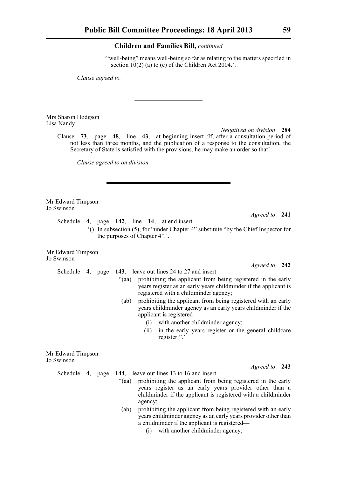'"well-being" means well-being so far as relating to the matters specified in section  $10(2)$  (a) to (e) of the Children Act 2004.'.

*Clause agreed to.*

Mrs Sharon Hodgson Lisa Nandy

> *Negatived on division* **284** Clause **73**, page **48**, line **43**, at beginning insert 'If, after a consultation period of not less than three months, and the publication of a response to the consultation, the Secretary of State is satisfied with the provisions, he may make an order so that'.

*Clause agreed to on division.*

Mr Edward Timpson Jo Swinson

*Agreed to* **241**

*Agreed to* **242**

*Agreed to* **243**

Schedule **4**, page **142**, line **14**, at end insert—

'() In subsection (5), for "under Chapter 4" substitute "by the Chief Inspector for the purposes of Chapter 4".'.

Mr Edward Timpson Jo Swinson

- Schedule **4**, page **143**, leave out lines 24 to 27 and insert— "(aa) prohibiting the applicant from being registered in the early years register as an early years childminder if the applicant is registered with a childminder agency;
	- (ab) prohibiting the applicant from being registered with an early years childminder agency as an early years childminder if the applicant is registered—
		- (i) with another childminder agency;
		- (ii) in the early years register or the general childcare register;".'.

Mr Edward Timpson Jo Swinson

- Schedule **4**, page **144**, leave out lines 13 to 16 and insert—
	- "(aa) prohibiting the applicant from being registered in the early years register as an early years provider other than a childminder if the applicant is registered with a childminder agency;
	- (ab) prohibiting the applicant from being registered with an early years childminder agency as an early years provider other than a childminder if the applicant is registered—
		- (i) with another childminder agency;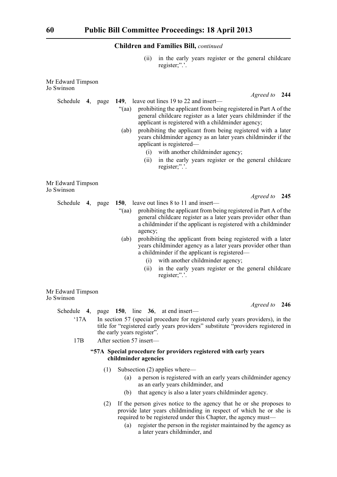(ii) in the early years register or the general childcare register;".'.

| Mr Edward Timpson<br>Jo Swinson |         |                                                                                                                                                                                                                                                                                                                                                                                                                                                                                                    |
|---------------------------------|---------|----------------------------------------------------------------------------------------------------------------------------------------------------------------------------------------------------------------------------------------------------------------------------------------------------------------------------------------------------------------------------------------------------------------------------------------------------------------------------------------------------|
| Schedule                        | 4, page | Agreed to 244<br>149, leave out lines 19 to 22 and insert—                                                                                                                                                                                                                                                                                                                                                                                                                                         |
|                                 |         | prohibiting the applicant from being registered in Part A of the<br>"(aa)<br>general childcare register as a later years childminder if the<br>applicant is registered with a childminder agency;<br>prohibiting the applicant from being registered with a later<br>(ab)<br>years childminder agency as an later years childminder if the<br>applicant is registered—<br>with another childminder agency;<br>(i)<br>in the early years register or the general childcare<br>(ii)<br>register;".'. |
| Mr Edward Timpson<br>Jo Swinson |         |                                                                                                                                                                                                                                                                                                                                                                                                                                                                                                    |
| Schedule 4, page                |         | Agreed to 245<br>150, leave out lines 8 to 11 and insert—                                                                                                                                                                                                                                                                                                                                                                                                                                          |
|                                 |         | prohibiting the applicant from being registered in Part A of the<br>"(aa)<br>general childcare register as a later years provider other than<br>a childminder if the applicant is registered with a childminder<br>agency;                                                                                                                                                                                                                                                                         |
|                                 |         | prohibiting the applicant from being registered with a later<br>(ab)<br>years childminder agency as a later years provider other than<br>a childminder if the applicant is registered—<br>with another childminder agency;<br>(i)                                                                                                                                                                                                                                                                  |
|                                 |         | in the early years register or the general childcare<br>(ii)<br>register;".'.                                                                                                                                                                                                                                                                                                                                                                                                                      |
| Mr Edward Timpson<br>Jo Swinson |         |                                                                                                                                                                                                                                                                                                                                                                                                                                                                                                    |
| Schedule                        |         | Agreed to 246<br>4, page $150$ , line $36$ , at end insert—                                                                                                                                                                                                                                                                                                                                                                                                                                        |

- '17A In section 57 (special procedure for registered early years providers), in the title for "registered early years providers" substitute "providers registered in the early years register".
- 17B After section 57 insert—

## **"57A Special procedure for providers registered with early years childminder agencies**

- (1) Subsection (2) applies where—
	- (a) a person is registered with an early years childminder agency as an early years childminder, and
	- (b) that agency is also a later years childminder agency.
- (2) If the person gives notice to the agency that he or she proposes to provide later years childminding in respect of which he or she is required to be registered under this Chapter, the agency must—
	- (a) register the person in the register maintained by the agency as a later years childminder, and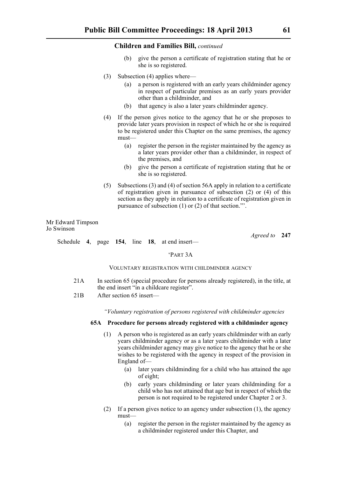- (b) give the person a certificate of registration stating that he or she is so registered.
- (3) Subsection (4) applies where—
	- (a) a person is registered with an early years childminder agency in respect of particular premises as an early years provider other than a childminder, and
	- (b) that agency is also a later years childminder agency.
- (4) If the person gives notice to the agency that he or she proposes to provide later years provision in respect of which he or she is required to be registered under this Chapter on the same premises, the agency must—
	- (a) register the person in the register maintained by the agency as a later years provider other than a childminder, in respect of the premises, and
	- (b) give the person a certificate of registration stating that he or she is so registered.
- (5) Subsections (3) and (4) of section 56A apply in relation to a certificate of registration given in pursuance of subsection (2) or (4) of this section as they apply in relation to a certificate of registration given in pursuance of subsection (1) or (2) of that section."'.

Mr Edward Timpson Jo Swinson

*Agreed to* **247**

Schedule **4**, page **154**, line **18**, at end insert—

#### 'PART 3A

#### VOLUNTARY REGISTRATION WITH CHILDMINDER AGENCY

- 21A In section 65 (special procedure for persons already registered), in the title, at the end insert "in a childcare register".
- 21B After section 65 insert—

*"Voluntary registration of persons registered with childminder agencies*

#### **65A Procedure for persons already registered with a childminder agency**

- (1) A person who is registered as an early years childminder with an early years childminder agency or as a later years childminder with a later years childminder agency may give notice to the agency that he or she wishes to be registered with the agency in respect of the provision in England of—
	- (a) later years childminding for a child who has attained the age of eight;
	- (b) early years childminding or later years childminding for a child who has not attained that age but in respect of which the person is not required to be registered under Chapter 2 or 3.
- (2) If a person gives notice to an agency under subsection (1), the agency must—
	- (a) register the person in the register maintained by the agency as a childminder registered under this Chapter, and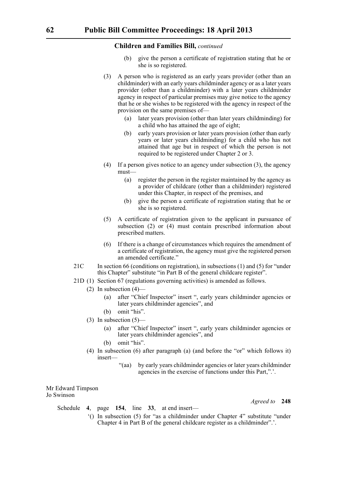- give the person a certificate of registration stating that he or she is so registered.
- (3) A person who is registered as an early years provider (other than an childminder) with an early years childminder agency or as a later years provider (other than a childminder) with a later years childminder agency in respect of particular premises may give notice to the agency that he or she wishes to be registered with the agency in respect of the provision on the same premises of—
	- (a) later years provision (other than later years childminding) for a child who has attained the age of eight;
	- (b) early years provision or later years provision (other than early years or later years childminding) for a child who has not attained that age but in respect of which the person is not required to be registered under Chapter 2 or 3.
- (4) If a person gives notice to an agency under subsection (3), the agency must—
	- (a) register the person in the register maintained by the agency as a provider of childcare (other than a childminder) registered under this Chapter, in respect of the premises, and
	- (b) give the person a certificate of registration stating that he or she is so registered.
- (5) A certificate of registration given to the applicant in pursuance of subsection (2) or (4) must contain prescribed information about prescribed matters.
- (6) If there is a change of circumstances which requires the amendment of a certificate of registration, the agency must give the registered person an amended certificate."
- 21C In section 66 (conditions on registration), in subsections (1) and (5) for "under this Chapter" substitute "in Part B of the general childcare register".
- 21D (1) Section 67 (regulations governing activities) is amended as follows.
	- (2) In subsection (4)—
		- (a) after "Chief Inspector" insert ", early years childminder agencies or later years childminder agencies", and
		- (b) omit "his".
	- (3) In subsection  $(5)$ 
		- (a) after "Chief Inspector" insert ", early years childminder agencies or later years childminder agencies", and
		- (b) omit "his".
	- (4) In subsection (6) after paragraph (a) (and before the "or" which follows it) insert—
		- "(aa) by early years childminder agencies or later years childminder agencies in the exercise of functions under this Part,".'.

Mr Edward Timpson Jo Swinson

- Schedule **4**, page **154**, line **33**, at end insert—
	- '() In subsection (5) for "as a childminder under Chapter 4" substitute "under Chapter 4 in Part B of the general childcare register as a childminder".'.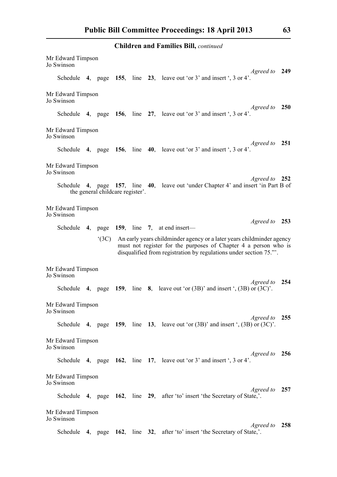| Mr Edward Timpson<br>Jo Swinson |                                  |  |                                                                                                                                                                                                               |            |
|---------------------------------|----------------------------------|--|---------------------------------------------------------------------------------------------------------------------------------------------------------------------------------------------------------------|------------|
|                                 |                                  |  | Agreed to 249<br>Schedule 4, page 155, line 23, leave out 'or $3'$ and insert ', $3$ or $4'$ .                                                                                                                |            |
| Mr Edward Timpson<br>Jo Swinson |                                  |  |                                                                                                                                                                                                               | <b>250</b> |
|                                 |                                  |  | Agreed to<br>Schedule 4, page 156, line 27, leave out 'or $3'$ and insert ', $3$ or $4'$ .                                                                                                                    |            |
| Mr Edward Timpson<br>Jo Swinson |                                  |  |                                                                                                                                                                                                               |            |
|                                 |                                  |  | <i>Agreed to</i><br>Schedule 4, page 156, line 40, leave out 'or $3'$ and insert ', $3$ or $4'$ .                                                                                                             | 251        |
| Mr Edward Timpson<br>Jo Swinson |                                  |  |                                                                                                                                                                                                               |            |
|                                 | the general childcare register'. |  | Agreed to 252<br>Schedule 4, page 157, line 40, leave out 'under Chapter 4' and insert 'in Part B of                                                                                                          |            |
| Mr Edward Timpson<br>Jo Swinson |                                  |  |                                                                                                                                                                                                               |            |
|                                 |                                  |  | Agreed to 253<br>Schedule 4, page 159, line 7, at end insert—                                                                                                                                                 |            |
|                                 | $^{\circ}$ (3C)                  |  | An early years childminder agency or a later years childminder agency<br>must not register for the purposes of Chapter 4 a person who is<br>disqualified from registration by regulations under section 75.". |            |
| Mr Edward Timpson<br>Jo Swinson |                                  |  |                                                                                                                                                                                                               |            |
|                                 |                                  |  | Agreed to 254<br>Schedule 4, page 159, line 8, leave out 'or $(3B)$ ' and insert ', $(3B)$ or $(3C)$ '.                                                                                                       |            |
| Mr Edward Timpson<br>Jo Swinson |                                  |  |                                                                                                                                                                                                               |            |
|                                 |                                  |  | Agreed to 255<br>Schedule 4, page 159, line 13, leave out 'or $(3B)$ ' and insert ', $(3B)$ or $(3C)$ '.                                                                                                      |            |
| Mr Edward Timpson<br>Jo Swinson |                                  |  |                                                                                                                                                                                                               |            |
|                                 |                                  |  | <i>Agreed to</i><br>Schedule 4, page 162, line 17, leave out 'or 3' and insert ', 3 or 4'.                                                                                                                    | 256        |
| Mr Edward Timpson<br>Jo Swinson |                                  |  |                                                                                                                                                                                                               |            |
|                                 |                                  |  | <i>Agreed to</i><br>Schedule 4, page 162, line 29, after 'to' insert 'the Secretary of State,'.                                                                                                               | 257        |
| Mr Edward Timpson<br>Jo Swinson |                                  |  |                                                                                                                                                                                                               |            |
|                                 |                                  |  | Agreed to<br>Schedule 4, page 162, line 32, after 'to' insert 'the Secretary of State,'.                                                                                                                      | 258        |